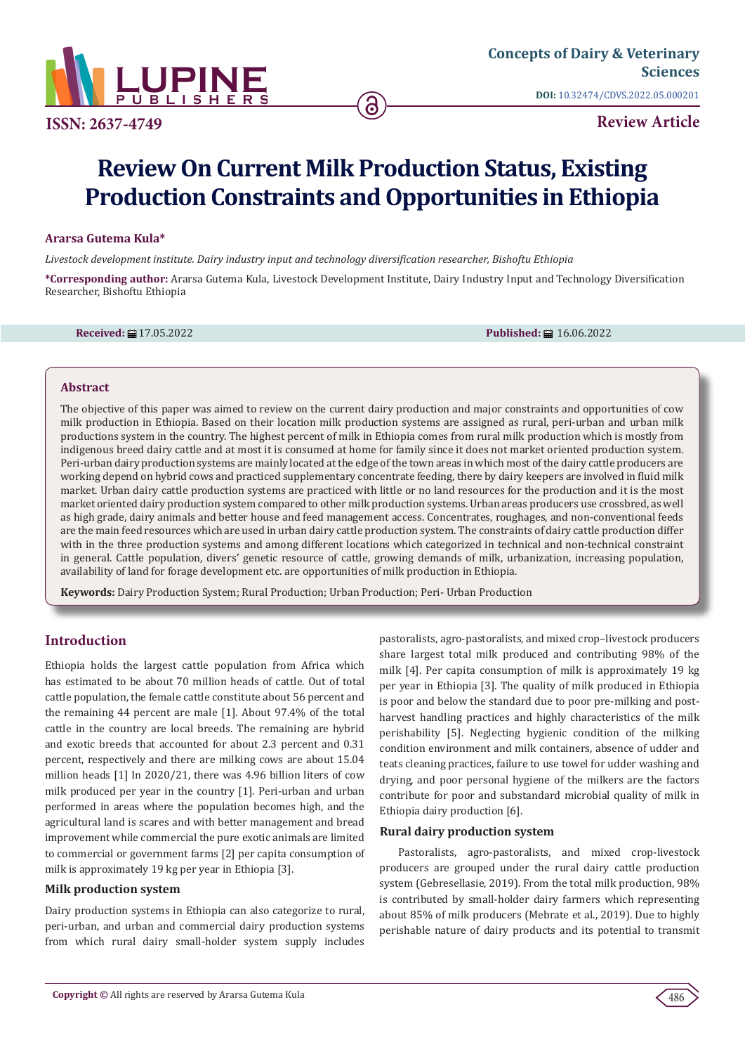

**ISSN: 2637-4749**

**DOI:** [10.32474/CDVS.2022.05.000201](http://dx.doi.org/10.32474/CDVS.2022.05.000201)

**Review Article**

# **Review On Current Milk Production Status, Existing Production Constraints and Opportunities in Ethiopia**

# **Ararsa Gutema Kula\***

*Livestock development institute. Dairy industry input and technology diversification researcher, Bishoftu Ethiopia*

**\*Corresponding author:** Ararsa Gutema Kula, Livestock Development Institute, Dairy Industry Input and Technology Diversification Researcher, Bishoftu Ethiopia

**Received:** 17.05.2022 **Published:** 16.06.2022

#### **Abstract**

The objective of this paper was aimed to review on the current dairy production and major constraints and opportunities of cow milk production in Ethiopia. Based on their location milk production systems are assigned as rural, peri-urban and urban milk productions system in the country. The highest percent of milk in Ethiopia comes from rural milk production which is mostly from indigenous breed dairy cattle and at most it is consumed at home for family since it does not market oriented production system. Peri-urban dairy production systems are mainly located at the edge of the town areas in which most of the dairy cattle producers are working depend on hybrid cows and practiced supplementary concentrate feeding, there by dairy keepers are involved in fluid milk market. Urban dairy cattle production systems are practiced with little or no land resources for the production and it is the most market oriented dairy production system compared to other milk production systems. Urban areas producers use crossbred, as well as high grade, dairy animals and better house and feed management access. Concentrates, roughages, and non-conventional feeds are the main feed resources which are used in urban dairy cattle production system. The constraints of dairy cattle production differ with in the three production systems and among different locations which categorized in technical and non-technical constraint in general. Cattle population, divers' genetic resource of cattle, growing demands of milk, urbanization, increasing population, availability of land for forage development etc. are opportunities of milk production in Ethiopia.

**Keywords:** Dairy Production System; Rural Production; Urban Production; Peri- Urban Production

# **Introduction**

Ethiopia holds the largest cattle population from Africa which has estimated to be about 70 million heads of cattle. Out of total cattle population, the female cattle constitute about 56 percent and the remaining 44 percent are male [1]. About 97.4% of the total cattle in the country are local breeds. The remaining are hybrid and exotic breeds that accounted for about 2.3 percent and 0.31 percent, respectively and there are milking cows are about 15.04 million heads [1] In 2020/21, there was 4.96 billion liters of cow milk produced per year in the country [1]. Peri-urban and urban performed in areas where the population becomes high, and the agricultural land is scares and with better management and bread improvement while commercial the pure exotic animals are limited to commercial or government farms [2] per capita consumption of milk is approximately 19 kg per year in Ethiopia [3].

#### **Milk production system**

Dairy production systems in Ethiopia can also categorize to rural, peri-urban, and urban and commercial dairy production systems from which rural dairy small-holder system supply includes

pastoralists, agro-pastoralists, and mixed crop–livestock producers share largest total milk produced and contributing 98% of the milk [4]. Per capita consumption of milk is approximately 19 kg per year in Ethiopia [3]. The quality of milk produced in Ethiopia is poor and below the standard due to poor pre-milking and postharvest handling practices and highly characteristics of the milk perishability [5]. Neglecting hygienic condition of the milking condition environment and milk containers, absence of udder and teats cleaning practices, failure to use towel for udder washing and drying, and poor personal hygiene of the milkers are the factors contribute for poor and substandard microbial quality of milk in Ethiopia dairy production [6].

# **Rural dairy production system**

Pastoralists, agro-pastoralists, and mixed crop-livestock producers are grouped under the rural dairy cattle production system (Gebresellasie, 2019). From the total milk production, 98% is contributed by small-holder dairy farmers which representing about 85% of milk producers (Mebrate et al., 2019). Due to highly perishable nature of dairy products and its potential to transmit

486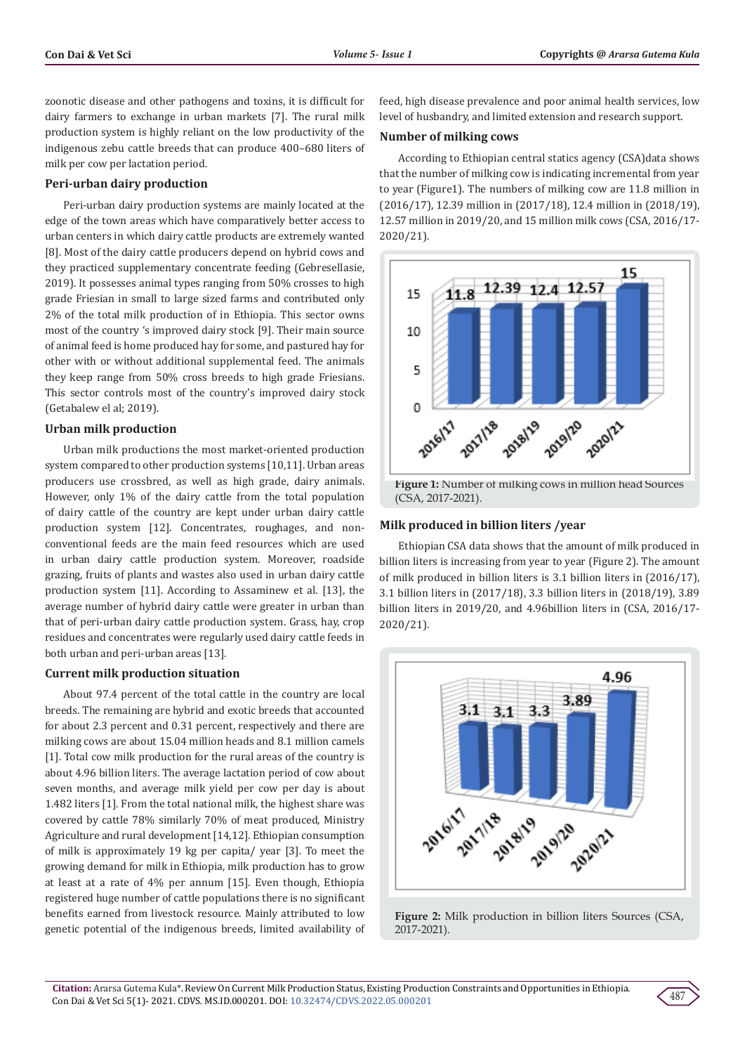zoonotic disease and other pathogens and toxins, it is difficult for dairy farmers to exchange in urban markets [7]. The rural milk production system is highly reliant on the low productivity of the indigenous zebu cattle breeds that can produce 400–680 liters of milk per cow per lactation period.

#### **Peri-urban dairy production**

Peri-urban dairy production systems are mainly located at the edge of the town areas which have comparatively better access to urban centers in which dairy cattle products are extremely wanted [8]. Most of the dairy cattle producers depend on hybrid cows and they practiced supplementary concentrate feeding (Gebresellasie, 2019). It possesses animal types ranging from 50% crosses to high grade Friesian in small to large sized farms and contributed only 2% of the total milk production of in Ethiopia. This sector owns most of the country 's improved dairy stock [9]. Their main source of animal feed is home produced hay for some, and pastured hay for other with or without additional supplemental feed. The animals they keep range from 50% cross breeds to high grade Friesians. This sector controls most of the country's improved dairy stock (Getabalew el al; 2019).

#### **Urban milk production**

Urban milk productions the most market-oriented production system compared to other production systems [10,11]. Urban areas producers use crossbred, as well as high grade, dairy animals. However, only 1% of the dairy cattle from the total population of dairy cattle of the country are kept under urban dairy cattle production system [12]. Concentrates, roughages, and nonconventional feeds are the main feed resources which are used in urban dairy cattle production system. Moreover, roadside grazing, fruits of plants and wastes also used in urban dairy cattle production system [11]. According to Assaminew et al. [13], the average number of hybrid dairy cattle were greater in urban than that of peri-urban dairy cattle production system. Grass, hay, crop residues and concentrates were regularly used dairy cattle feeds in both urban and peri-urban areas [13].

#### **Current milk production situation**

About 97.4 percent of the total cattle in the country are local breeds. The remaining are hybrid and exotic breeds that accounted for about 2.3 percent and 0.31 percent, respectively and there are milking cows are about 15.04 million heads and 8.1 million camels [1]. Total cow milk production for the rural areas of the country is about 4.96 billion liters. The average lactation period of cow about seven months, and average milk yield per cow per day is about 1.482 liters [1]. From the total national milk, the highest share was covered by cattle 78% similarly 70% of meat produced, Ministry Agriculture and rural development [14,12]. Ethiopian consumption of milk is approximately 19 kg per capita/ year [3]. To meet the growing demand for milk in Ethiopia, milk production has to grow at least at a rate of 4% per annum [15]. Even though, Ethiopia registered huge number of cattle populations there is no significant benefits earned from livestock resource. Mainly attributed to low genetic potential of the indigenous breeds, limited availability of feed, high disease prevalence and poor animal health services, low level of husbandry, and limited extension and research support.

#### **Number of milking cows**

According to Ethiopian central statics agency (CSA)data shows that the number of milking cow is indicating incremental from year to year (Figure1). The numbers of milking cow are 11.8 million in (2016/17), 12.39 million in (2017/18), 12.4 million in (2018/19), 12.57 million in 2019/20, and 15 million milk cows (CSA, 2016/17- 2020/21).



#### **Milk produced in billion liters /year**

Ethiopian CSA data shows that the amount of milk produced in billion liters is increasing from year to year (Figure 2). The amount of milk produced in billion liters is 3.1 billion liters in (2016/17), 3.1 billion liters in (2017/18), 3.3 billion liters in (2018/19), 3.89 billion liters in 2019/20, and 4.96billion liters in (CSA, 2016/17- 2020/21).



**Figure 2:** Milk production in billion liters Sources (CSA, 2017-2021).

487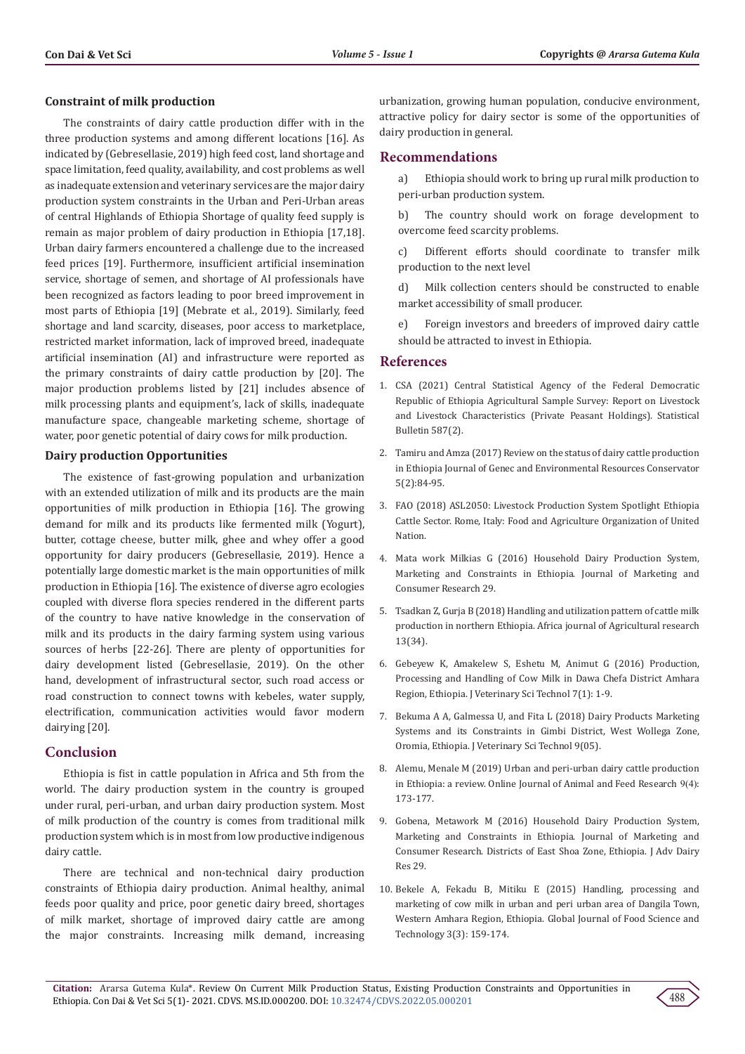#### **Constraint of milk production**

The constraints of dairy cattle production differ with in the three production systems and among different locations [16]. As indicated by (Gebresellasie, 2019) high feed cost, land shortage and space limitation, feed quality, availability, and cost problems as well as inadequate extension and veterinary services are the major dairy production system constraints in the Urban and Peri-Urban areas of central Highlands of Ethiopia Shortage of quality feed supply is remain as major problem of dairy production in Ethiopia [17,18]. Urban dairy farmers encountered a challenge due to the increased feed prices [19]. Furthermore, insufficient artificial insemination service, shortage of semen, and shortage of AI professionals have been recognized as factors leading to poor breed improvement in most parts of Ethiopia [19] (Mebrate et al., 2019). Similarly, feed shortage and land scarcity, diseases, poor access to marketplace, restricted market information, lack of improved breed, inadequate artificial insemination (AI) and infrastructure were reported as the primary constraints of dairy cattle production by [20]. The major production problems listed by [21] includes absence of milk processing plants and equipment's, lack of skills, inadequate manufacture space, changeable marketing scheme, shortage of water, poor genetic potential of dairy cows for milk production.

#### **Dairy production Opportunities**

The existence of fast-growing population and urbanization with an extended utilization of milk and its products are the main opportunities of milk production in Ethiopia [16]. The growing demand for milk and its products like fermented milk (Yogurt), butter, cottage cheese, butter milk, ghee and whey offer a good opportunity for dairy producers (Gebresellasie, 2019). Hence a potentially large domestic market is the main opportunities of milk production in Ethiopia [16]. The existence of diverse agro ecologies coupled with diverse flora species rendered in the different parts of the country to have native knowledge in the conservation of milk and its products in the dairy farming system using various sources of herbs [22-26]. There are plenty of opportunities for dairy development listed (Gebresellasie, 2019). On the other hand, development of infrastructural sector, such road access or road construction to connect towns with kebeles, water supply, electrification, communication activities would favor modern dairying [20].

# **Conclusion**

Ethiopia is fist in cattle population in Africa and 5th from the world. The dairy production system in the country is grouped under rural, peri-urban, and urban dairy production system. Most of milk production of the country is comes from traditional milk production system which is in most from low productive indigenous dairy cattle.

There are technical and non-technical dairy production constraints of Ethiopia dairy production. Animal healthy, animal feeds poor quality and price, poor genetic dairy breed, shortages of milk market, shortage of improved dairy cattle are among the major constraints. Increasing milk demand, increasing urbanization, growing human population, conducive environment, attractive policy for dairy sector is some of the opportunities of dairy production in general.

#### **Recommendations**

a) Ethiopia should work to bring up rural milk production to peri-urban production system.

b) The country should work on forage development to overcome feed scarcity problems.

c) Different efforts should coordinate to transfer milk production to the next level

d) Milk collection centers should be constructed to enable market accessibility of small producer.

e) Foreign investors and breeders of improved dairy cattle should be attracted to invest in Ethiopia.

#### **References**

- 1. CSA (2021) Central Statistical Agency of the Federal Democratic Republic of Ethiopia Agricultural Sample Survey: Report on Livestock and Livestock Characteristics (Private Peasant Holdings). Statistical Bulletin 587(2).
- 2. Tamiru and Amza (2017) Review on the status of dairy cattle production in Ethiopia Journal of Genec and Environmental Resources Conservator 5(2):84-95.
- 3. [FAO \(2018\) ASL2050: Livestock Production System Spotlight Ethiopia](https://www.fao.org/documents/card/en/c/I8271EN/) [Cattle Sector. Rome, Italy: Food and Agriculture Organization of United](https://www.fao.org/documents/card/en/c/I8271EN/) [Nation](https://www.fao.org/documents/card/en/c/I8271EN/).
- 4. [Mata work Milkias G \(2016\) Household Dairy Production System,](https://core.ac.uk/reader/234694230) [Marketing and Constraints in Ethiopia. Journal of Marketing and](https://core.ac.uk/reader/234694230) [Consumer Research 29.](https://core.ac.uk/reader/234694230)
- 5. [Tsadkan Z, Gurja B \(2018\) Handling and utilization pattern of cattle milk](https://africaneditors.org/journal/AJAR/abstract/15864-109329) [production in northern Ethiopia. Africa journal of Agricultural research](https://africaneditors.org/journal/AJAR/abstract/15864-109329) [13\(34\).](https://africaneditors.org/journal/AJAR/abstract/15864-109329)
- 6. [Gebeyew K, Amakelew S, Eshetu M, Animut G \(2016\) Production,](https://www.hilarispublisher.com/open-access/production-processing-and-handling-of-cow-milk-in-dawa-chefa-districtamhara-region-ethiopia-2157-7579-1000286.pdf) [Processing and Handling of Cow Milk in Dawa Chefa District Amhara](https://www.hilarispublisher.com/open-access/production-processing-and-handling-of-cow-milk-in-dawa-chefa-districtamhara-region-ethiopia-2157-7579-1000286.pdf) [Region, Ethiopia. J Veterinary Sci Technol 7\(1\): 1-9.](https://www.hilarispublisher.com/open-access/production-processing-and-handling-of-cow-milk-in-dawa-chefa-districtamhara-region-ethiopia-2157-7579-1000286.pdf)
- 7. [Bekuma A A, Galmessa U, and Fita L \(2018\) Dairy Products Marketing](https://www.researchgate.net/publication/329312302_Dairy_Products_Marketing_Systems_and_its_Constraints_in_Gimbi_District_West_Wollega_Zone_Oromia_Ethiopia) [Systems and its Constraints in Gimbi District, West Wollega Zone,](https://www.researchgate.net/publication/329312302_Dairy_Products_Marketing_Systems_and_its_Constraints_in_Gimbi_District_West_Wollega_Zone_Oromia_Ethiopia) [Oromia, Ethiopia. J Veterinary Sci Technol 9\(05\).](https://www.researchgate.net/publication/329312302_Dairy_Products_Marketing_Systems_and_its_Constraints_in_Gimbi_District_West_Wollega_Zone_Oromia_Ethiopia)
- 8. [Alemu, Menale M \(2019\) Urban and peri-urban dairy cattle production](https://www.researchgate.net/publication/336362944_URBAN_AND_PERI-URBAN_DAIRY_CATTLE_PRODUCTION_IN_ETHIOPIA_A_REVIEW) in Ethiopia: a review. [Online Journal of Animal and Feed Research](https://www.researchgate.net/publication/336362944_URBAN_AND_PERI-URBAN_DAIRY_CATTLE_PRODUCTION_IN_ETHIOPIA_A_REVIEW) 9(4): [173-177.](https://www.researchgate.net/publication/336362944_URBAN_AND_PERI-URBAN_DAIRY_CATTLE_PRODUCTION_IN_ETHIOPIA_A_REVIEW)
- 9. [Gobena, Metawork M \(2016\) Household Dairy Production System,](https://iiste.org/Journals/index.php/JMCR/article/view/34354) [Marketing and Constraints in Ethiopia. Journal of Marketing and](https://iiste.org/Journals/index.php/JMCR/article/view/34354) [Consumer Research. Districts of East Shoa Zone, Ethiopia. J Adv Dairy](https://iiste.org/Journals/index.php/JMCR/article/view/34354) [Res 29.](https://iiste.org/Journals/index.php/JMCR/article/view/34354)
- 10. [Bekele A, Fekadu B, Mitiku E \(2015\) Handling, processing and](https://www.globalscienceresearchjournals.org/articles/handling-processing-and-marketing-of-cow-milk-in-urban-and-peri-urban-area-of-dangila-town-western-amhara-region-ethiopi.pdf) [marketing of cow milk in urban and peri urban area of Dangila Town,](https://www.globalscienceresearchjournals.org/articles/handling-processing-and-marketing-of-cow-milk-in-urban-and-peri-urban-area-of-dangila-town-western-amhara-region-ethiopi.pdf) [Western Amhara Region, Ethiopia. Global Journal of Food Science and](https://www.globalscienceresearchjournals.org/articles/handling-processing-and-marketing-of-cow-milk-in-urban-and-peri-urban-area-of-dangila-town-western-amhara-region-ethiopi.pdf) [Technology 3\(3\): 159-174.](https://www.globalscienceresearchjournals.org/articles/handling-processing-and-marketing-of-cow-milk-in-urban-and-peri-urban-area-of-dangila-town-western-amhara-region-ethiopi.pdf)